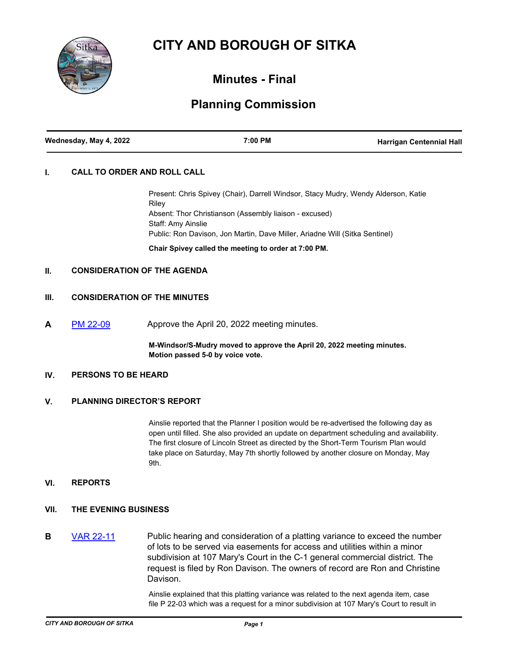# **CITY AND BOROUGH OF SITKA**



## **Minutes - Final**

# **Planning Commission**

### **I. CALL TO ORDER AND ROLL CALL**

Present: Chris Spivey (Chair), Darrell Windsor, Stacy Mudry, Wendy Alderson, Katie Riley Absent: Thor Christianson (Assembly liaison - excused) Staff: Amy Ainslie Public: Ron Davison, Jon Martin, Dave Miller, Ariadne Will (Sitka Sentinel) **Chair Spivey called the meeting to order at 7:00 PM.**

#### **II. CONSIDERATION OF THE AGENDA**

### **III. CONSIDERATION OF THE MINUTES**

**A** [PM 22-09](http://sitka.legistar.com/gateway.aspx?m=l&id=/matter.aspx?key=13600) Approve the April 20, 2022 meeting minutes.

**M-Windsor/S-Mudry moved to approve the April 20, 2022 meeting minutes. Motion passed 5-0 by voice vote.**

#### **IV. PERSONS TO BE HEARD**

#### **V. PLANNING DIRECTOR'S REPORT**

Ainslie reported that the Planner I position would be re-advertised the following day as open until filled. She also provided an update on department scheduling and availability. The first closure of Lincoln Street as directed by the Short-Term Tourism Plan would take place on Saturday, May 7th shortly followed by another closure on Monday, May 9th.

#### **VI. REPORTS**

- **VII. THE EVENING BUSINESS**
- **B** [VAR 22-11](http://sitka.legistar.com/gateway.aspx?m=l&id=/matter.aspx?key=13599) Public hearing and consideration of a platting variance to exceed the number of lots to be served via easements for access and utilities within a minor subdivision at 107 Mary's Court in the C-1 general commercial district. The request is filed by Ron Davison. The owners of record are Ron and Christine Davison.

Ainslie explained that this platting variance was related to the next agenda item, case file P 22-03 which was a request for a minor subdivision at 107 Mary's Court to result in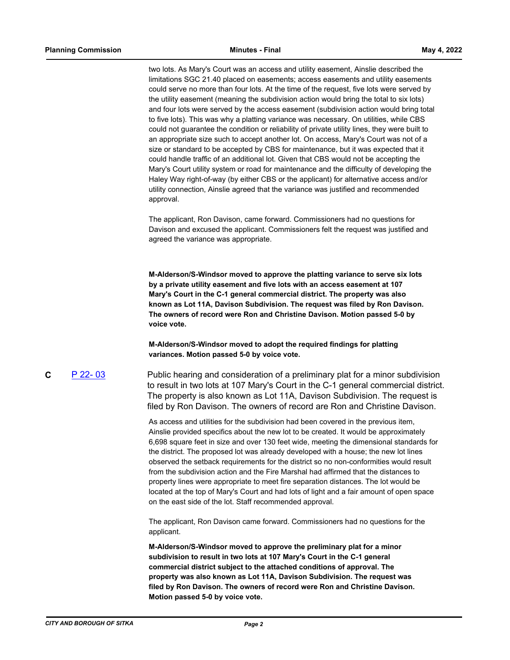two lots. As Mary's Court was an access and utility easement, Ainslie described the limitations SGC 21.40 placed on easements; access easements and utility easements could serve no more than four lots. At the time of the request, five lots were served by the utility easement (meaning the subdivision action would bring the total to six lots) and four lots were served by the access easement (subdivision action would bring total to five lots). This was why a platting variance was necessary. On utilities, while CBS could not guarantee the condition or reliability of private utility lines, they were built to an appropriate size such to accept another lot. On access, Mary's Court was not of a size or standard to be accepted by CBS for maintenance, but it was expected that it could handle traffic of an additional lot. Given that CBS would not be accepting the Mary's Court utility system or road for maintenance and the difficulty of developing the Haley Way right-of-way (by either CBS or the applicant) for alternative access and/or utility connection, Ainslie agreed that the variance was justified and recommended approval.

The applicant, Ron Davison, came forward. Commissioners had no questions for Davison and excused the applicant. Commissioners felt the request was justified and agreed the variance was appropriate.

**M-Alderson/S-Windsor moved to approve the platting variance to serve six lots by a private utility easement and five lots with an access easement at 107 Mary's Court in the C-1 general commercial district. The property was also known as Lot 11A, Davison Subdivision. The request was filed by Ron Davison. The owners of record were Ron and Christine Davison. Motion passed 5-0 by voice vote.** 

**M-Alderson/S-Windsor moved to adopt the required findings for platting variances. Motion passed 5-0 by voice vote.**

**C** [P 22- 03](http://sitka.legistar.com/gateway.aspx?m=l&id=/matter.aspx?key=13598) Public hearing and consideration of a preliminary plat for a minor subdivision to result in two lots at 107 Mary's Court in the C-1 general commercial district. The property is also known as Lot 11A, Davison Subdivision. The request is filed by Ron Davison. The owners of record are Ron and Christine Davison.

> As access and utilities for the subdivision had been covered in the previous item, Ainslie provided specifics about the new lot to be created. It would be approximately 6,698 square feet in size and over 130 feet wide, meeting the dimensional standards for the district. The proposed lot was already developed with a house; the new lot lines observed the setback requirements for the district so no non-conformities would result from the subdivision action and the Fire Marshal had affirmed that the distances to property lines were appropriate to meet fire separation distances. The lot would be located at the top of Mary's Court and had lots of light and a fair amount of open space on the east side of the lot. Staff recommended approval.

The applicant, Ron Davison came forward. Commissioners had no questions for the applicant.

**M-Alderson/S-Windsor moved to approve the preliminary plat for a minor subdivision to result in two lots at 107 Mary's Court in the C-1 general commercial district subject to the attached conditions of approval. The property was also known as Lot 11A, Davison Subdivision. The request was filed by Ron Davison. The owners of record were Ron and Christine Davison. Motion passed 5-0 by voice vote.**